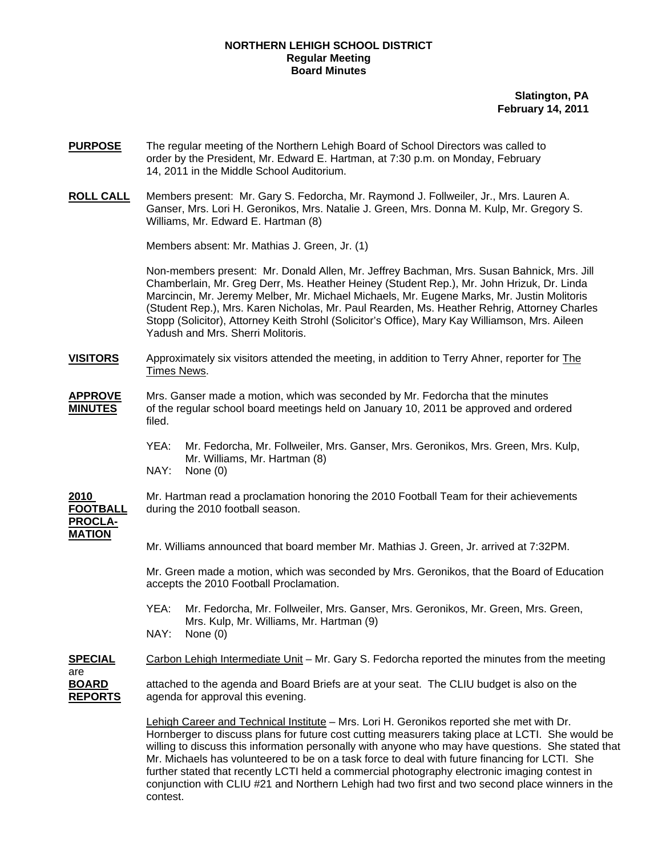## **NORTHERN LEHIGH SCHOOL DISTRICT Regular Meeting Board Minutes**

**Slatington, PA February 14, 2011**

- **PURPOSE** The regular meeting of the Northern Lehigh Board of School Directors was called to order by the President, Mr. Edward E. Hartman, at 7:30 p.m. on Monday, February 14, 2011 in the Middle School Auditorium.
- **ROLL CALL** Members present: Mr. Gary S. Fedorcha, Mr. Raymond J. Follweiler, Jr., Mrs. Lauren A. Ganser, Mrs. Lori H. Geronikos, Mrs. Natalie J. Green, Mrs. Donna M. Kulp, Mr. Gregory S. Williams, Mr. Edward E. Hartman (8)

Members absent: Mr. Mathias J. Green, Jr. (1)

Non-members present: Mr. Donald Allen, Mr. Jeffrey Bachman, Mrs. Susan Bahnick, Mrs. Jill Chamberlain, Mr. Greg Derr, Ms. Heather Heiney (Student Rep.), Mr. John Hrizuk, Dr. Linda Marcincin, Mr. Jeremy Melber, Mr. Michael Michaels, Mr. Eugene Marks, Mr. Justin Molitoris (Student Rep.), Mrs. Karen Nicholas, Mr. Paul Rearden, Ms. Heather Rehrig, Attorney Charles Stopp (Solicitor), Attorney Keith Strohl (Solicitor's Office), Mary Kay Williamson, Mrs. Aileen Yadush and Mrs. Sherri Molitoris.

- **VISITORS** Approximately six visitors attended the meeting, in addition to Terry Ahner, reporter for The Times News.
- **APPROVE** Mrs. Ganser made a motion, which was seconded by Mr. Fedorcha that the minutes **MINUTES** of the regular school board meetings held on January 10, 2011 be approved and ordered filed.
	- YEA: Mr. Fedorcha, Mr. Follweiler, Mrs. Ganser, Mrs. Geronikos, Mrs. Green, Mrs. Kulp, Mr. Williams, Mr. Hartman (8)
	- NAY: None (0)

**2010** Mr. Hartman read a proclamation honoring the 2010 Football Team for their achievements **PROCLA-MATION**

**FOOTBALL** during the 2010 football season.

Mr. Williams announced that board member Mr. Mathias J. Green, Jr. arrived at 7:32PM.

 Mr. Green made a motion, which was seconded by Mrs. Geronikos, that the Board of Education accepts the 2010 Football Proclamation.

 YEA: Mr. Fedorcha, Mr. Follweiler, Mrs. Ganser, Mrs. Geronikos, Mr. Green, Mrs. Green, Mrs. Kulp, Mr. Williams, Mr. Hartman (9) NAY: None (0)

**SPECIAL** Carbon Lehigh Intermediate Unit – Mr. Gary S. Fedorcha reported the minutes from the meeting are **BOARD** attached to the agenda and Board Briefs are at your seat. The CLIU budget is also on the **REPORTS** agenda for approval this evening.

> Lehigh Career and Technical Institute – Mrs. Lori H. Geronikos reported she met with Dr. Hornberger to discuss plans for future cost cutting measurers taking place at LCTI. She would be willing to discuss this information personally with anyone who may have questions. She stated that Mr. Michaels has volunteered to be on a task force to deal with future financing for LCTI. She further stated that recently LCTI held a commercial photography electronic imaging contest in conjunction with CLIU #21 and Northern Lehigh had two first and two second place winners in the contest.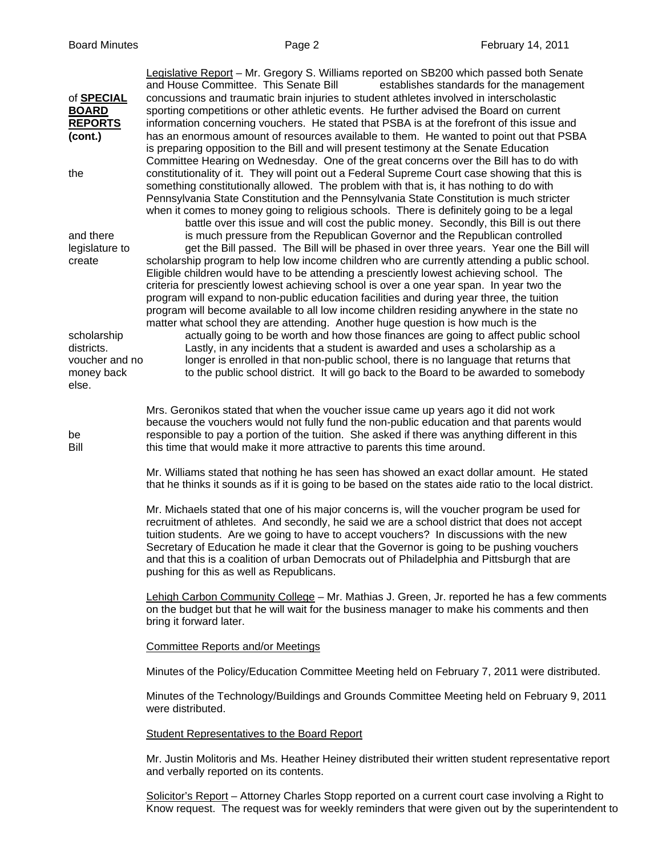| of <b>SPECIAL</b><br><b>BOARD</b><br><b>REPORTS</b><br>(cont.)     | Legislative Report - Mr. Gregory S. Williams reported on SB200 which passed both Senate<br>and House Committee. This Senate Bill<br>establishes standards for the management<br>concussions and traumatic brain injuries to student athletes involved in interscholastic<br>sporting competitions or other athletic events. He further advised the Board on current<br>information concerning vouchers. He stated that PSBA is at the forefront of this issue and<br>has an enormous amount of resources available to them. He wanted to point out that PSBA<br>is preparing opposition to the Bill and will present testimony at the Senate Education<br>Committee Hearing on Wednesday. One of the great concerns over the Bill has to do with |  |  |  |
|--------------------------------------------------------------------|--------------------------------------------------------------------------------------------------------------------------------------------------------------------------------------------------------------------------------------------------------------------------------------------------------------------------------------------------------------------------------------------------------------------------------------------------------------------------------------------------------------------------------------------------------------------------------------------------------------------------------------------------------------------------------------------------------------------------------------------------|--|--|--|
| the                                                                | constitutionality of it. They will point out a Federal Supreme Court case showing that this is<br>something constitutionally allowed. The problem with that is, it has nothing to do with<br>Pennsylvania State Constitution and the Pennsylvania State Constitution is much stricter<br>when it comes to money going to religious schools. There is definitely going to be a legal<br>battle over this issue and will cost the public money. Secondly, this Bill is out there                                                                                                                                                                                                                                                                   |  |  |  |
| and there<br>legislature to<br>create                              | is much pressure from the Republican Governor and the Republican controlled<br>get the Bill passed. The Bill will be phased in over three years. Year one the Bill will<br>scholarship program to help low income children who are currently attending a public school.<br>Eligible children would have to be attending a presciently lowest achieving school. The<br>criteria for presciently lowest achieving school is over a one year span. In year two the<br>program will expand to non-public education facilities and during year three, the tuition<br>program will become available to all low income children residing anywhere in the state no<br>matter what school they are attending. Another huge question is how much is the    |  |  |  |
| scholarship<br>districts.<br>voucher and no<br>money back<br>else. | actually going to be worth and how those finances are going to affect public school<br>Lastly, in any incidents that a student is awarded and uses a scholarship as a<br>longer is enrolled in that non-public school, there is no language that returns that<br>to the public school district. It will go back to the Board to be awarded to somebody                                                                                                                                                                                                                                                                                                                                                                                           |  |  |  |
| be<br>Bill                                                         | Mrs. Geronikos stated that when the voucher issue came up years ago it did not work<br>because the vouchers would not fully fund the non-public education and that parents would<br>responsible to pay a portion of the tuition. She asked if there was anything different in this<br>this time that would make it more attractive to parents this time around.                                                                                                                                                                                                                                                                                                                                                                                  |  |  |  |
|                                                                    | Mr. Williams stated that nothing he has seen has showed an exact dollar amount. He stated<br>that he thinks it sounds as if it is going to be based on the states aide ratio to the local district.                                                                                                                                                                                                                                                                                                                                                                                                                                                                                                                                              |  |  |  |
|                                                                    | Mr. Michaels stated that one of his major concerns is, will the voucher program be used for<br>recruitment of athletes. And secondly, he said we are a school district that does not accept<br>tuition students. Are we going to have to accept vouchers? In discussions with the new<br>Secretary of Education he made it clear that the Governor is going to be pushing vouchers<br>and that this is a coalition of urban Democrats out of Philadelphia and Pittsburgh that are<br>pushing for this as well as Republicans.                                                                                                                                                                                                                    |  |  |  |
|                                                                    | Lehigh Carbon Community College - Mr. Mathias J. Green, Jr. reported he has a few comments<br>on the budget but that he will wait for the business manager to make his comments and then<br>bring it forward later.                                                                                                                                                                                                                                                                                                                                                                                                                                                                                                                              |  |  |  |
|                                                                    | <b>Committee Reports and/or Meetings</b>                                                                                                                                                                                                                                                                                                                                                                                                                                                                                                                                                                                                                                                                                                         |  |  |  |
|                                                                    | Minutes of the Policy/Education Committee Meeting held on February 7, 2011 were distributed.                                                                                                                                                                                                                                                                                                                                                                                                                                                                                                                                                                                                                                                     |  |  |  |
|                                                                    | Minutes of the Technology/Buildings and Grounds Committee Meeting held on February 9, 2011<br>were distributed.                                                                                                                                                                                                                                                                                                                                                                                                                                                                                                                                                                                                                                  |  |  |  |
|                                                                    | <b>Student Representatives to the Board Report</b>                                                                                                                                                                                                                                                                                                                                                                                                                                                                                                                                                                                                                                                                                               |  |  |  |
|                                                                    | Mr. Justin Molitoris and Ms. Heather Heiney distributed their written student representative report<br>and verbally reported on its contents.                                                                                                                                                                                                                                                                                                                                                                                                                                                                                                                                                                                                    |  |  |  |
|                                                                    | Solicitor's Report - Attorney Charles Stopp reported on a current court case involving a Right to<br>Know request. The request was for weekly reminders that were given out by the superintendent to                                                                                                                                                                                                                                                                                                                                                                                                                                                                                                                                             |  |  |  |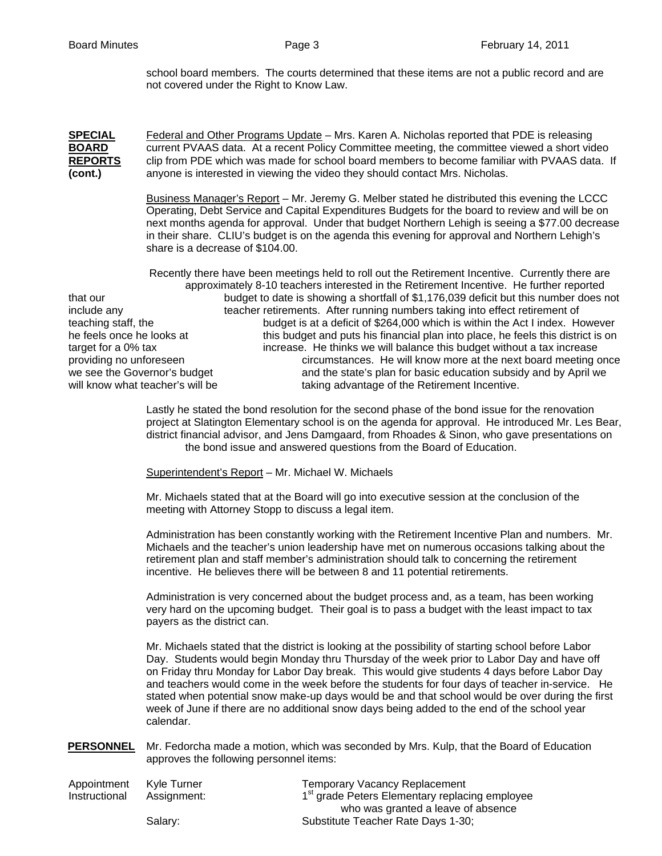school board members. The courts determined that these items are not a public record and are not covered under the Right to Know Law.

**SPECIAL** Federal and Other Programs Update – Mrs. Karen A. Nicholas reported that PDE is releasing **BOARD** current PVAAS data. At a recent Policy Committee meeting, the committee viewed a short video **REPORTS** clip from PDE which was made for school board members to become familiar with PVAAS data. If **(cont.)** anyone is interested in viewing the video they should contact Mrs. Nicholas.

> Business Manager's Report – Mr. Jeremy G. Melber stated he distributed this evening the LCCC Operating, Debt Service and Capital Expenditures Budgets for the board to review and will be on next months agenda for approval. Under that budget Northern Lehigh is seeing a \$77.00 decrease in their share. CLIU's budget is on the agenda this evening for approval and Northern Lehigh's share is a decrease of \$104.00.

 Recently there have been meetings held to roll out the Retirement Incentive. Currently there are approximately 8-10 teachers interested in the Retirement Incentive. He further reported that our budget to date is showing a shortfall of \$1,176,039 deficit but this number does not include any teacher retirements. After running numbers taking into effect retirement of teaching staff, the budget is at a deficit of \$264,000 which is within the Act I index. However he feels once he looks at this budget and puts his financial plan into place, he feels this district is on target for a 0% tax increase. He thinks we will balance this budget without a tax increase providing no unforeseen circumstances. He will know more at the next board meeting once we see the Governor's budget and the state's plan for basic education subsidy and by April we will know what teacher's will be taking advantage of the Retirement Incentive.

> Lastly he stated the bond resolution for the second phase of the bond issue for the renovation project at Slatington Elementary school is on the agenda for approval. He introduced Mr. Les Bear, district financial advisor, and Jens Damgaard, from Rhoades & Sinon, who gave presentations on the bond issue and answered questions from the Board of Education.

Superintendent's Report – Mr. Michael W. Michaels

Mr. Michaels stated that at the Board will go into executive session at the conclusion of the meeting with Attorney Stopp to discuss a legal item.

Administration has been constantly working with the Retirement Incentive Plan and numbers. Mr. Michaels and the teacher's union leadership have met on numerous occasions talking about the retirement plan and staff member's administration should talk to concerning the retirement incentive. He believes there will be between 8 and 11 potential retirements.

Administration is very concerned about the budget process and, as a team, has been working very hard on the upcoming budget. Their goal is to pass a budget with the least impact to tax payers as the district can.

Mr. Michaels stated that the district is looking at the possibility of starting school before Labor Day. Students would begin Monday thru Thursday of the week prior to Labor Day and have off on Friday thru Monday for Labor Day break. This would give students 4 days before Labor Day and teachers would come in the week before the students for four days of teacher in-service. He stated when potential snow make-up days would be and that school would be over during the first week of June if there are no additional snow days being added to the end of the school year calendar.

**PERSONNEL** Mr. Fedorcha made a motion, which was seconded by Mrs. Kulp, that the Board of Education approves the following personnel items:

| Appointment   | Kyle Turner | <b>Temporary Vacancy Replacement</b>                       |
|---------------|-------------|------------------------------------------------------------|
| Instructional | Assignment: | 1 <sup>st</sup> grade Peters Elementary replacing employee |
|               |             | who was granted a leave of absence                         |
|               | Salarv:     | Substitute Teacher Rate Days 1-30;                         |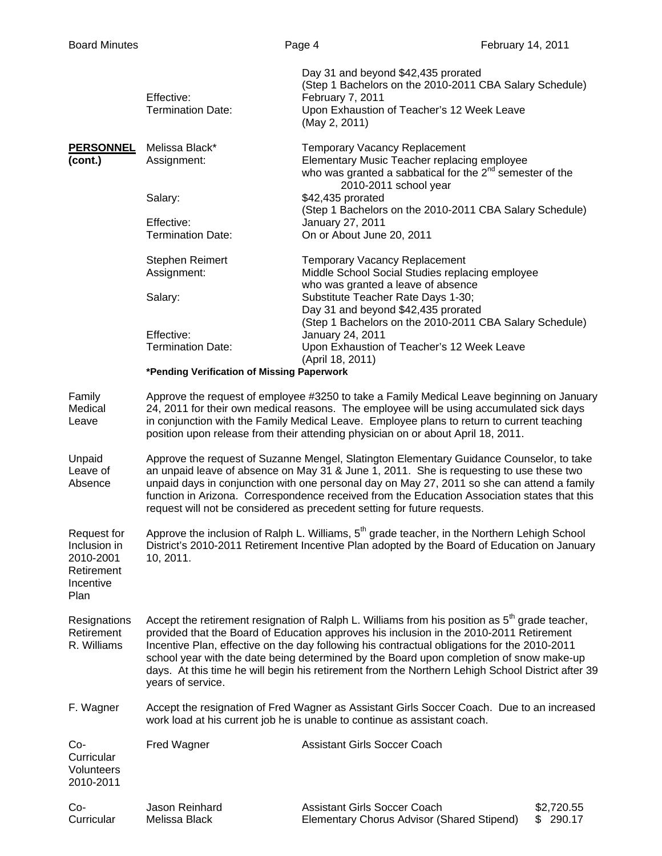|                                                                             | Effective:<br><b>Termination Date:</b>                                                                                                                                                                                                                                                                                                                                                                                                                                                                           | Day 31 and beyond \$42,435 prorated<br>(Step 1 Bachelors on the 2010-2011 CBA Salary Schedule)<br>February 7, 2011<br>Upon Exhaustion of Teacher's 12 Week Leave<br>(May 2, 2011)                       |                             |
|-----------------------------------------------------------------------------|------------------------------------------------------------------------------------------------------------------------------------------------------------------------------------------------------------------------------------------------------------------------------------------------------------------------------------------------------------------------------------------------------------------------------------------------------------------------------------------------------------------|---------------------------------------------------------------------------------------------------------------------------------------------------------------------------------------------------------|-----------------------------|
| <b>PERSONNEL</b><br>(cont.)                                                 | Melissa Black*<br>Assignment:                                                                                                                                                                                                                                                                                                                                                                                                                                                                                    | <b>Temporary Vacancy Replacement</b><br>Elementary Music Teacher replacing employee<br>who was granted a sabbatical for the 2 <sup>nd</sup> semester of the<br>2010-2011 school year                    |                             |
|                                                                             | Salary:                                                                                                                                                                                                                                                                                                                                                                                                                                                                                                          | \$42,435 prorated<br>(Step 1 Bachelors on the 2010-2011 CBA Salary Schedule)<br>January 27, 2011<br>On or About June 20, 2011                                                                           |                             |
|                                                                             | Effective:<br><b>Termination Date:</b>                                                                                                                                                                                                                                                                                                                                                                                                                                                                           |                                                                                                                                                                                                         |                             |
|                                                                             | <b>Stephen Reimert</b><br>Assignment:                                                                                                                                                                                                                                                                                                                                                                                                                                                                            | <b>Temporary Vacancy Replacement</b><br>Middle School Social Studies replacing employee<br>who was granted a leave of absence                                                                           |                             |
|                                                                             | Salary:                                                                                                                                                                                                                                                                                                                                                                                                                                                                                                          | Substitute Teacher Rate Days 1-30;<br>Day 31 and beyond \$42,435 prorated<br>(Step 1 Bachelors on the 2010-2011 CBA Salary Schedule)                                                                    |                             |
|                                                                             | Effective:<br><b>Termination Date:</b>                                                                                                                                                                                                                                                                                                                                                                                                                                                                           | January 24, 2011<br>Upon Exhaustion of Teacher's 12 Week Leave<br>(April 18, 2011)                                                                                                                      |                             |
|                                                                             | *Pending Verification of Missing Paperwork                                                                                                                                                                                                                                                                                                                                                                                                                                                                       |                                                                                                                                                                                                         |                             |
| Family<br>Medical<br>Leave                                                  | Approve the request of employee #3250 to take a Family Medical Leave beginning on January<br>24, 2011 for their own medical reasons. The employee will be using accumulated sick days<br>in conjunction with the Family Medical Leave. Employee plans to return to current teaching<br>position upon release from their attending physician on or about April 18, 2011.                                                                                                                                          |                                                                                                                                                                                                         |                             |
| Unpaid<br>Leave of<br>Absence                                               | Approve the request of Suzanne Mengel, Slatington Elementary Guidance Counselor, to take<br>an unpaid leave of absence on May 31 & June 1, 2011. She is requesting to use these two<br>unpaid days in conjunction with one personal day on May 27, 2011 so she can attend a family<br>function in Arizona. Correspondence received from the Education Association states that this<br>request will not be considered as precedent setting for future requests.                                                   |                                                                                                                                                                                                         |                             |
| Request for<br>Inclusion in<br>2010-2001<br>Retirement<br>Incentive<br>Plan | 10, 2011.                                                                                                                                                                                                                                                                                                                                                                                                                                                                                                        | Approve the inclusion of Ralph L. Williams, 5 <sup>th</sup> grade teacher, in the Northern Lehigh School<br>District's 2010-2011 Retirement Incentive Plan adopted by the Board of Education on January |                             |
| Resignations<br>Retirement<br>R. Williams                                   | Accept the retirement resignation of Ralph L. Williams from his position as $5th$ grade teacher,<br>provided that the Board of Education approves his inclusion in the 2010-2011 Retirement<br>Incentive Plan, effective on the day following his contractual obligations for the 2010-2011<br>school year with the date being determined by the Board upon completion of snow make-up<br>days. At this time he will begin his retirement from the Northern Lehigh School District after 39<br>years of service. |                                                                                                                                                                                                         |                             |
| F. Wagner                                                                   | Accept the resignation of Fred Wagner as Assistant Girls Soccer Coach. Due to an increased<br>work load at his current job he is unable to continue as assistant coach.                                                                                                                                                                                                                                                                                                                                          |                                                                                                                                                                                                         |                             |
| Co-<br>Curricular<br>Volunteers<br>2010-2011                                | Fred Wagner                                                                                                                                                                                                                                                                                                                                                                                                                                                                                                      | <b>Assistant Girls Soccer Coach</b>                                                                                                                                                                     |                             |
| Co-<br>Curricular                                                           | Jason Reinhard<br>Melissa Black                                                                                                                                                                                                                                                                                                                                                                                                                                                                                  | <b>Assistant Girls Soccer Coach</b><br>Elementary Chorus Advisor (Shared Stipend)                                                                                                                       | \$2,720.55<br>290.17<br>SS. |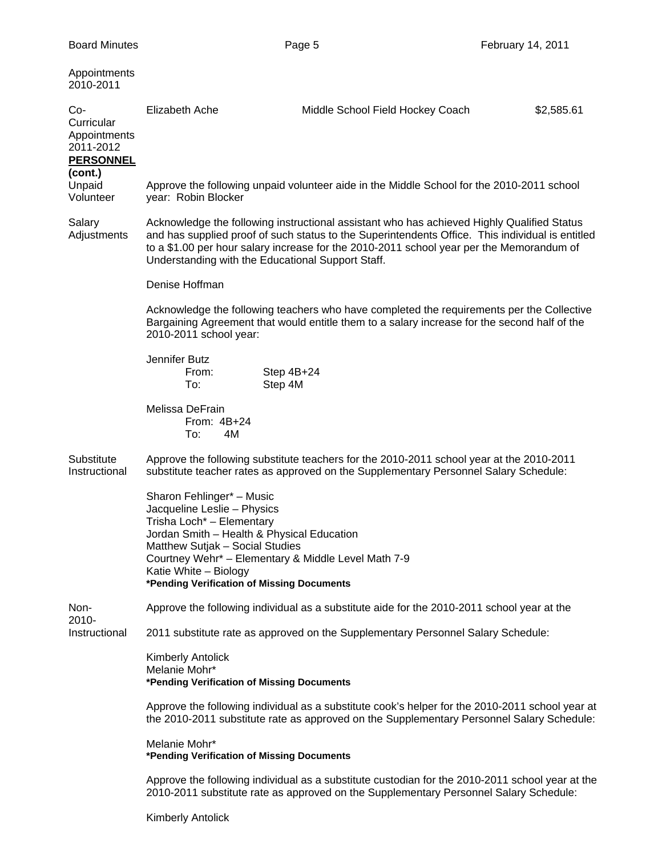| Appointments<br>2010-2011                                                     |                                                                                                                                                                                                                                                                                                                                                 |                                                                                                                                                                                          |            |  |
|-------------------------------------------------------------------------------|-------------------------------------------------------------------------------------------------------------------------------------------------------------------------------------------------------------------------------------------------------------------------------------------------------------------------------------------------|------------------------------------------------------------------------------------------------------------------------------------------------------------------------------------------|------------|--|
| Co-<br>Curricular<br>Appointments<br>2011-2012<br><b>PERSONNEL</b><br>(cont.) | Elizabeth Ache                                                                                                                                                                                                                                                                                                                                  | Middle School Field Hockey Coach                                                                                                                                                         | \$2,585.61 |  |
| Unpaid<br>Volunteer                                                           | year: Robin Blocker                                                                                                                                                                                                                                                                                                                             | Approve the following unpaid volunteer aide in the Middle School for the 2010-2011 school                                                                                                |            |  |
| Salary<br>Adjustments                                                         | Acknowledge the following instructional assistant who has achieved Highly Qualified Status<br>and has supplied proof of such status to the Superintendents Office. This individual is entitled<br>to a \$1.00 per hour salary increase for the 2010-2011 school year per the Memorandum of<br>Understanding with the Educational Support Staff. |                                                                                                                                                                                          |            |  |
|                                                                               | Denise Hoffman                                                                                                                                                                                                                                                                                                                                  |                                                                                                                                                                                          |            |  |
|                                                                               | Acknowledge the following teachers who have completed the requirements per the Collective<br>Bargaining Agreement that would entitle them to a salary increase for the second half of the<br>2010-2011 school year:                                                                                                                             |                                                                                                                                                                                          |            |  |
|                                                                               | Jennifer Butz<br>From:<br>To:                                                                                                                                                                                                                                                                                                                   | Step 4B+24<br>Step 4M                                                                                                                                                                    |            |  |
|                                                                               | Melissa DeFrain<br>From: 4B+24<br>To:<br>4M                                                                                                                                                                                                                                                                                                     |                                                                                                                                                                                          |            |  |
| Substitute<br>Instructional                                                   |                                                                                                                                                                                                                                                                                                                                                 | Approve the following substitute teachers for the 2010-2011 school year at the 2010-2011<br>substitute teacher rates as approved on the Supplementary Personnel Salary Schedule:         |            |  |
|                                                                               | Sharon Fehlinger* - Music<br>Jacqueline Leslie - Physics<br>Trisha Loch* - Elementary<br>Jordan Smith - Health & Physical Education<br>Matthew Sutjak - Social Studies<br>Katie White - Biology<br>*Pending Verification of Missing Documents                                                                                                   | Courtney Wehr* - Elementary & Middle Level Math 7-9                                                                                                                                      |            |  |
| Non-                                                                          |                                                                                                                                                                                                                                                                                                                                                 | Approve the following individual as a substitute aide for the 2010-2011 school year at the                                                                                               |            |  |
| 2010-<br>Instructional                                                        | 2011 substitute rate as approved on the Supplementary Personnel Salary Schedule:                                                                                                                                                                                                                                                                |                                                                                                                                                                                          |            |  |
|                                                                               | <b>Kimberly Antolick</b><br>Melanie Mohr*<br>*Pending Verification of Missing Documents                                                                                                                                                                                                                                                         |                                                                                                                                                                                          |            |  |
|                                                                               | Approve the following individual as a substitute cook's helper for the 2010-2011 school year at<br>the 2010-2011 substitute rate as approved on the Supplementary Personnel Salary Schedule:                                                                                                                                                    |                                                                                                                                                                                          |            |  |
|                                                                               | Melanie Mohr*<br>*Pending Verification of Missing Documents                                                                                                                                                                                                                                                                                     |                                                                                                                                                                                          |            |  |
|                                                                               |                                                                                                                                                                                                                                                                                                                                                 | Approve the following individual as a substitute custodian for the 2010-2011 school year at the<br>2010-2011 substitute rate as approved on the Supplementary Personnel Salary Schedule: |            |  |

Kimberly Antolick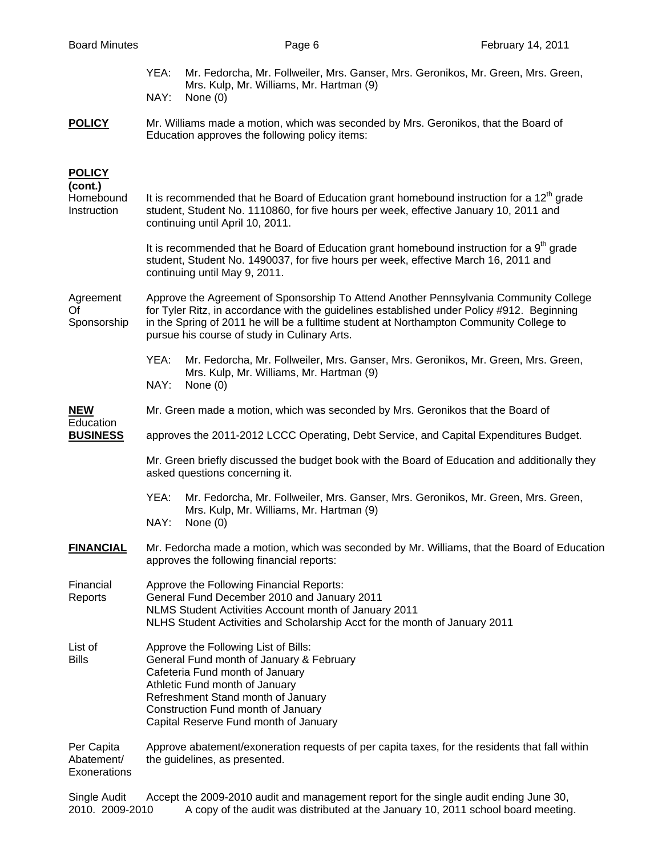|                                          | YEA:<br>Mr. Fedorcha, Mr. Follweiler, Mrs. Ganser, Mrs. Geronikos, Mr. Green, Mrs. Green,<br>Mrs. Kulp, Mr. Williams, Mr. Hartman (9)<br>NAY:<br>None $(0)$                                                                                                                                                                    |  |  |
|------------------------------------------|--------------------------------------------------------------------------------------------------------------------------------------------------------------------------------------------------------------------------------------------------------------------------------------------------------------------------------|--|--|
| <b>POLICY</b>                            | Mr. Williams made a motion, which was seconded by Mrs. Geronikos, that the Board of                                                                                                                                                                                                                                            |  |  |
|                                          | Education approves the following policy items:                                                                                                                                                                                                                                                                                 |  |  |
| <b>POLICY</b><br>(cont.)                 |                                                                                                                                                                                                                                                                                                                                |  |  |
| Homebound<br>Instruction                 | It is recommended that he Board of Education grant homebound instruction for a $12th$ grade<br>student, Student No. 1110860, for five hours per week, effective January 10, 2011 and<br>continuing until April 10, 2011.                                                                                                       |  |  |
|                                          | It is recommended that he Board of Education grant homebound instruction for a 9 <sup>th</sup> grade<br>student, Student No. 1490037, for five hours per week, effective March 16, 2011 and<br>continuing until May 9, 2011.                                                                                                   |  |  |
| Agreement<br>Of<br>Sponsorship           | Approve the Agreement of Sponsorship To Attend Another Pennsylvania Community College<br>for Tyler Ritz, in accordance with the guidelines established under Policy #912. Beginning<br>in the Spring of 2011 he will be a fulltime student at Northampton Community College to<br>pursue his course of study in Culinary Arts. |  |  |
|                                          | YEA:<br>Mr. Fedorcha, Mr. Follweiler, Mrs. Ganser, Mrs. Geronikos, Mr. Green, Mrs. Green,<br>Mrs. Kulp, Mr. Williams, Mr. Hartman (9)                                                                                                                                                                                          |  |  |
|                                          | NAY:<br>None $(0)$                                                                                                                                                                                                                                                                                                             |  |  |
| <b>NEW</b><br>Education                  | Mr. Green made a motion, which was seconded by Mrs. Geronikos that the Board of                                                                                                                                                                                                                                                |  |  |
| <b>BUSINESS</b>                          | approves the 2011-2012 LCCC Operating, Debt Service, and Capital Expenditures Budget.                                                                                                                                                                                                                                          |  |  |
|                                          | Mr. Green briefly discussed the budget book with the Board of Education and additionally they<br>asked questions concerning it.                                                                                                                                                                                                |  |  |
|                                          | YEA:<br>Mr. Fedorcha, Mr. Follweiler, Mrs. Ganser, Mrs. Geronikos, Mr. Green, Mrs. Green,<br>Mrs. Kulp, Mr. Williams, Mr. Hartman (9)<br>NAY:<br>None (0)                                                                                                                                                                      |  |  |
| <b>FINANCIAL</b>                         | Mr. Fedorcha made a motion, which was seconded by Mr. Williams, that the Board of Education<br>approves the following financial reports:                                                                                                                                                                                       |  |  |
| Financial<br>Reports                     | Approve the Following Financial Reports:<br>General Fund December 2010 and January 2011<br>NLMS Student Activities Account month of January 2011<br>NLHS Student Activities and Scholarship Acct for the month of January 2011                                                                                                 |  |  |
| List of<br><b>Bills</b>                  | Approve the Following List of Bills:<br>General Fund month of January & February<br>Cafeteria Fund month of January<br>Athletic Fund month of January<br>Refreshment Stand month of January<br>Construction Fund month of January<br>Capital Reserve Fund month of January                                                     |  |  |
| Per Capita<br>Abatement/<br>Exonerations | Approve abatement/exoneration requests of per capita taxes, for the residents that fall within<br>the guidelines, as presented.                                                                                                                                                                                                |  |  |

Single Audit Accept the 2009-2010 audit and management report for the single audit ending June 30, 2010. 2009-2010 A copy of the audit was distributed at the January 10, 2011 school board meeting.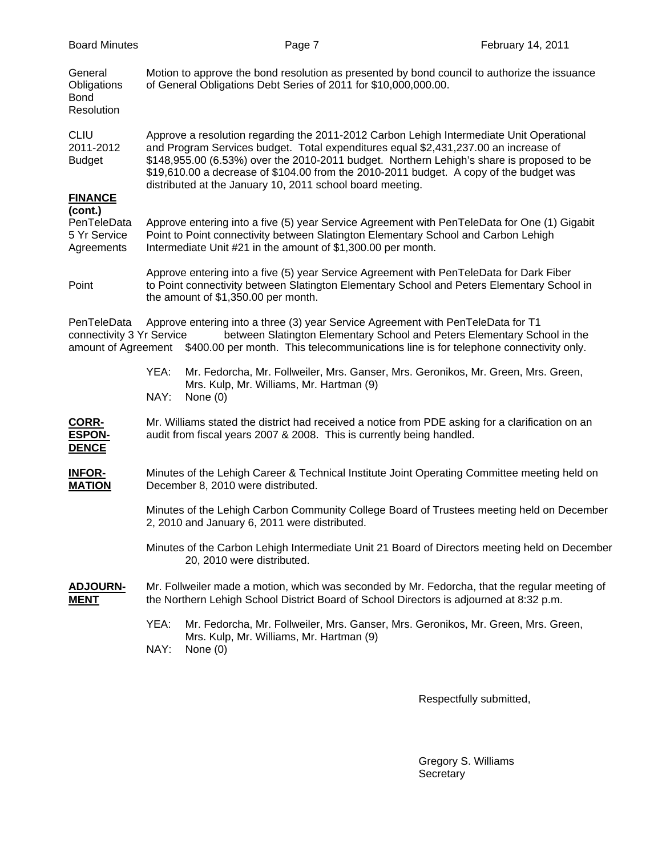| <b>Board Minutes</b>                                |                                                                                                                                                                                                                                                                                                                                                                                                                                     | Page 7                                                                                                                                                                                       | February 14, 2011                                                                                |
|-----------------------------------------------------|-------------------------------------------------------------------------------------------------------------------------------------------------------------------------------------------------------------------------------------------------------------------------------------------------------------------------------------------------------------------------------------------------------------------------------------|----------------------------------------------------------------------------------------------------------------------------------------------------------------------------------------------|--------------------------------------------------------------------------------------------------|
| General<br>Obligations<br><b>Bond</b><br>Resolution |                                                                                                                                                                                                                                                                                                                                                                                                                                     | of General Obligations Debt Series of 2011 for \$10,000,000.00.                                                                                                                              | Motion to approve the bond resolution as presented by bond council to authorize the issuance     |
| <b>CLIU</b><br>2011-2012<br><b>Budget</b>           | Approve a resolution regarding the 2011-2012 Carbon Lehigh Intermediate Unit Operational<br>and Program Services budget. Total expenditures equal \$2,431,237.00 an increase of<br>\$148,955.00 (6.53%) over the 2010-2011 budget. Northern Lehigh's share is proposed to be<br>\$19,610.00 a decrease of \$104.00 from the 2010-2011 budget. A copy of the budget was<br>distributed at the January 10, 2011 school board meeting. |                                                                                                                                                                                              |                                                                                                  |
| <b>FINANCE</b><br>(cont.)                           |                                                                                                                                                                                                                                                                                                                                                                                                                                     |                                                                                                                                                                                              |                                                                                                  |
| PenTeleData<br>5 Yr Service<br>Agreements           |                                                                                                                                                                                                                                                                                                                                                                                                                                     | Point to Point connectivity between Slatington Elementary School and Carbon Lehigh<br>Intermediate Unit #21 in the amount of \$1,300.00 per month.                                           | Approve entering into a five (5) year Service Agreement with PenTeleData for One (1) Gigabit     |
| Point                                               | Approve entering into a five (5) year Service Agreement with PenTeleData for Dark Fiber<br>to Point connectivity between Slatington Elementary School and Peters Elementary School in<br>the amount of \$1,350.00 per month.                                                                                                                                                                                                        |                                                                                                                                                                                              |                                                                                                  |
| PenTeleData<br>connectivity 3 Yr Service            |                                                                                                                                                                                                                                                                                                                                                                                                                                     | Approve entering into a three (3) year Service Agreement with PenTeleData for T1<br>amount of Agreement \$400.00 per month. This telecommunications line is for telephone connectivity only. | between Slatington Elementary School and Peters Elementary School in the                         |
|                                                     | YEA:<br>NAY:                                                                                                                                                                                                                                                                                                                                                                                                                        | Mr. Fedorcha, Mr. Follweiler, Mrs. Ganser, Mrs. Geronikos, Mr. Green, Mrs. Green,<br>Mrs. Kulp, Mr. Williams, Mr. Hartman (9)<br>None $(0)$                                                  |                                                                                                  |
| CORR-<br><b>ESPON-</b><br><b>DENCE</b>              |                                                                                                                                                                                                                                                                                                                                                                                                                                     | audit from fiscal years 2007 & 2008. This is currently being handled.                                                                                                                        | Mr. Williams stated the district had received a notice from PDE asking for a clarification on an |
| <b>INFOR-</b><br><b>MATION</b>                      |                                                                                                                                                                                                                                                                                                                                                                                                                                     | December 8, 2010 were distributed.                                                                                                                                                           | Minutes of the Lehigh Career & Technical Institute Joint Operating Committee meeting held on     |
|                                                     |                                                                                                                                                                                                                                                                                                                                                                                                                                     | 2, 2010 and January 6, 2011 were distributed.                                                                                                                                                | Minutes of the Lehigh Carbon Community College Board of Trustees meeting held on December        |
|                                                     |                                                                                                                                                                                                                                                                                                                                                                                                                                     | 20, 2010 were distributed.                                                                                                                                                                   | Minutes of the Carbon Lehigh Intermediate Unit 21 Board of Directors meeting held on December    |
| <b>ADJOURN-</b><br><b>MENT</b>                      |                                                                                                                                                                                                                                                                                                                                                                                                                                     | the Northern Lehigh School District Board of School Directors is adjourned at 8:32 p.m.                                                                                                      | Mr. Follweiler made a motion, which was seconded by Mr. Fedorcha, that the regular meeting of    |
|                                                     | YEA:                                                                                                                                                                                                                                                                                                                                                                                                                                | Mr. Fedorcha, Mr. Follweiler, Mrs. Ganser, Mrs. Geronikos, Mr. Green, Mrs. Green,                                                                                                            |                                                                                                  |
|                                                     | NAY:                                                                                                                                                                                                                                                                                                                                                                                                                                | Mrs. Kulp, Mr. Williams, Mr. Hartman (9)<br>None $(0)$                                                                                                                                       |                                                                                                  |
|                                                     |                                                                                                                                                                                                                                                                                                                                                                                                                                     |                                                                                                                                                                                              | Respectfully submitted,                                                                          |

 Gregory S. Williams Secretary and the contract of the secretary secretary secretary